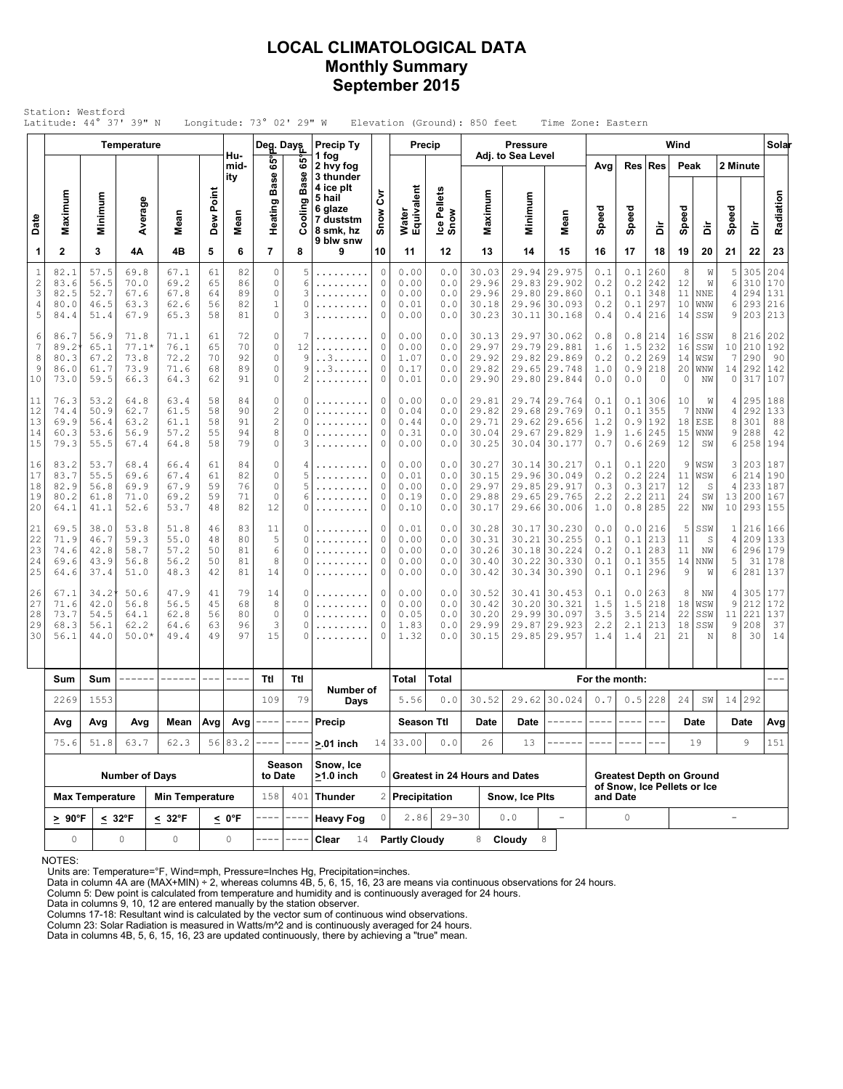## **LOCAL CLIMATOLOGICAL DATA Monthly Summary September 2015**

|                                           | Station: Westford                    |                                       | Latitude: 44° 37' 39" N                 |                                      |                                           |                            | Longitude: $73^\circ$ 02' 29" W                             |                                                                                                                                                                                                                                                                                                                                                                                              |                                                                                |                                           |                                      |                                   | Elevation (Ground): 850 feet                       |                                      | Time Zone: Eastern                                                                                                                                                                                                                                                                                                                                                                                                                                                                  |                                         |                                                                                                                                                                                                                                                                                                                                                                                              |                                     |                                 |                                |                                |                                    |                                                   |
|-------------------------------------------|--------------------------------------|---------------------------------------|-----------------------------------------|--------------------------------------|-------------------------------------------|----------------------------|-------------------------------------------------------------|----------------------------------------------------------------------------------------------------------------------------------------------------------------------------------------------------------------------------------------------------------------------------------------------------------------------------------------------------------------------------------------------|--------------------------------------------------------------------------------|-------------------------------------------|--------------------------------------|-----------------------------------|----------------------------------------------------|--------------------------------------|-------------------------------------------------------------------------------------------------------------------------------------------------------------------------------------------------------------------------------------------------------------------------------------------------------------------------------------------------------------------------------------------------------------------------------------------------------------------------------------|-----------------------------------------|----------------------------------------------------------------------------------------------------------------------------------------------------------------------------------------------------------------------------------------------------------------------------------------------------------------------------------------------------------------------------------------------|-------------------------------------|---------------------------------|--------------------------------|--------------------------------|------------------------------------|---------------------------------------------------|
|                                           |                                      |                                       | Temperature                             |                                      |                                           |                            | Deg. Days                                                   |                                                                                                                                                                                                                                                                                                                                                                                              | <b>Precip Ty</b>                                                               |                                           |                                      | Precip                            |                                                    | <b>Pressure</b><br>Adj. to Sea Level |                                                                                                                                                                                                                                                                                                                                                                                                                                                                                     |                                         |                                                                                                                                                                                                                                                                                                                                                                                              |                                     | Wind                            |                                |                                |                                    | Solar                                             |
| Date                                      | Maximum                              | Minimum                               | Average                                 | Mean                                 | Dew Point                                 | Hu-<br>mid-<br>ity<br>Mean | 65°<br><b>Base</b><br>Heating                               | နိ<br><b>Base</b><br>oling                                                                                                                                                                                                                                                                                                                                                                   | 1 fog<br>2 hvy fog<br>3 thunder<br>4 ice plt<br>5 hail<br>6 glaze<br>7 duststm | ξ<br>Snow                                 | Water<br>Equivalent                  | Ice Pellets<br>Snow               | Maximum                                            | Minimum                              | Mean                                                                                                                                                                                                                                                                                                                                                                                                                                                                                | Avg<br>Speed                            | Speed                                                                                                                                                                                                                                                                                                                                                                                        | Res Res                             | Peak<br>Speed                   |                                | Speed                          | 2 Minute                           | Radiation                                         |
|                                           |                                      |                                       |                                         |                                      |                                           |                            |                                                             | රි                                                                                                                                                                                                                                                                                                                                                                                           | 8 smk, hz<br>9 blw snw                                                         |                                           |                                      |                                   |                                                    |                                      |                                                                                                                                                                                                                                                                                                                                                                                                                                                                                     |                                         |                                                                                                                                                                                                                                                                                                                                                                                              | à                                   |                                 | à                              |                                | à                                  |                                                   |
| 1                                         | $\mathbf{2}$                         | 3                                     | 4Α                                      | 4B                                   | 5                                         | 6                          | $\overline{7}$                                              | 8                                                                                                                                                                                                                                                                                                                                                                                            | 9                                                                              | 10                                        | 11                                   | 12                                | 13                                                 | 14                                   | 15                                                                                                                                                                                                                                                                                                                                                                                                                                                                                  | 16                                      | 17                                                                                                                                                                                                                                                                                                                                                                                           | 18                                  | 19                              | 20                             | 21                             | 22                                 | 23                                                |
| $\mathbf{1}$<br>$\sqrt{2}$<br>3<br>4<br>5 | 82.1<br>83.6<br>82.5<br>80.0<br>84.4 | 57.5<br>56.5<br>52.7<br>46.5<br>51.4  | 69.8<br>70.0<br>67.6<br>63.3<br>67.9    | 67.1<br>69.2<br>67.8<br>62.6<br>65.3 | 61<br>65<br>64<br>56<br>58                | 82<br>86<br>89<br>82<br>81 | $\circ$<br>0<br>$\mathbb O$<br>$\mathbf{1}$<br>$\circ$      | 5<br>6<br>3<br>0<br>3                                                                                                                                                                                                                                                                                                                                                                        | .<br>.                                                                         | 0<br>0<br>0<br>0<br>0                     | 0.00<br>0.00<br>0.00<br>0.01<br>0.00 | 0.0<br>0.0<br>0.0<br>0.0<br>0.0   | 30.03<br>29.96<br>29.96<br>30.18<br>30.23          | 29.94<br>29.83<br>30.11              | 29.975<br> 29.902<br>29.80 29.860<br>29.96 30.093<br>30.168                                                                                                                                                                                                                                                                                                                                                                                                                         | 0.1<br>0.2<br>0.1<br>0.2<br>0.4         | 0.1<br>0.2<br>0.1<br>0.1<br>0.4                                                                                                                                                                                                                                                                                                                                                              | 260<br>242<br>348<br>297<br>216     | 8<br>12<br>11<br>10<br>14       | W<br>W<br>NNE<br>WNW<br>SSW    | 5<br>6<br>4<br>6<br>9          | 305<br>310<br>294<br>293           | 204<br>170<br>131<br>216<br>203 213               |
| 6<br>$\overline{7}$<br>8<br>9<br>10       | 86.7<br>89.2<br>80.3<br>86.0<br>73.0 | 56.9<br>65.1<br>67.2<br>61.7<br>59.5  | 71.8<br>$77.1*$<br>73.8<br>73.9<br>66.3 | 71.1<br>76.1<br>72.2<br>71.6<br>64.3 | 61<br>65<br>70<br>68<br>62                | 72<br>70<br>92<br>89<br>91 | $\circ$<br>0<br>$\Omega$<br>$\circ$<br>$\circ$              | 7<br>12<br>9<br>9<br>2                                                                                                                                                                                                                                                                                                                                                                       | .<br>.<br>. . 3.<br>. . 3                                                      | 0<br>0<br>0<br>0<br>0                     | 0.00<br>0.00<br>1.07<br>0.17<br>0.01 | 0.0<br>0.0<br>0.0<br>0.0<br>0.0   | 30.13<br>29.97<br>29.92<br>29.82<br>29.90          | 29.97                                | 30.062<br>29.79 29.881<br>29.82 29.869<br>29.65 29.748<br>29.80 29.844                                                                                                                                                                                                                                                                                                                                                                                                              | 0.8<br>1.6<br>0.2<br>1.0<br>0.0         | 0.8<br>1.5<br>0.2<br>0.9<br>0.0                                                                                                                                                                                                                                                                                                                                                              | 214<br>232<br>269<br>218<br>$\circ$ | 16<br>16<br>14<br>20<br>$\circ$ | SSW<br>SSW<br>WSW<br>WNW<br>NW | 8<br>7<br>14<br>$\circ$        | 216<br>10 210<br>290<br>292<br>317 | 202<br>192<br>-90<br>142<br>107                   |
| 11<br>12<br>13<br>14<br>15                | 76.3<br>74.4<br>69.9<br>60.3<br>79.3 | 53.2<br>50.9<br>56.4<br>53.6<br>55.5  | 64.8<br>62.7<br>63.2<br>56.9<br>67.4    | 63.4<br>61.5<br>61.1<br>57.2<br>64.8 | 58<br>58<br>58<br>55<br>58                | 84<br>90<br>91<br>94<br>79 | $\mathbf 0$<br>$\overline{c}$<br>$\sqrt{2}$<br>8<br>$\circ$ | 0<br>0<br>0<br>0<br>3                                                                                                                                                                                                                                                                                                                                                                        | .<br>.<br>.                                                                    | 0<br>$\mathbb O$<br>0<br>0<br>$\mathbb O$ | 0.00<br>0.04<br>0.44<br>0.31<br>0.00 | 0.0<br>0.0<br>0.0<br>$0.0$<br>0.0 | 29.81<br>29.82<br>29.71<br>30.04<br>30.25          | 29.67                                | 29.74 29.764<br>29.68 29.769<br>29.62 29.656<br>29.829<br>30.04 30.177                                                                                                                                                                                                                                                                                                                                                                                                              | 0.1<br>0.1<br>1.2<br>1.9<br>0.7         | 0.1<br>0.1<br>0.9<br>1.6<br>0.6                                                                                                                                                                                                                                                                                                                                                              | 306<br>355<br>192<br>245<br>269     | 10<br>7<br>18<br>15<br>12       | W<br>NNW<br>ESE<br>WNW<br>SW   | 4<br>4<br>8<br>9<br>6          | 295<br>292<br>301<br>288<br>258    | 188<br>133<br>88<br>42<br>194                     |
| 16<br>17<br>18<br>19<br>20                | 83.2<br>83.7<br>82.9<br>80.2<br>64.1 | 53.7<br>55.5<br>56.8<br>61.8<br>41.1  | 68.4<br>69.6<br>69.9<br>71.0<br>52.6    | 66.4<br>67.4<br>67.9<br>69.2<br>53.7 | 61<br>61<br>59<br>59<br>48                | 84<br>82<br>76<br>71<br>82 | $\mathbf 0$<br>$\mathbb O$<br>$\circ$<br>$\mathbf 0$<br>12  | 4<br>5<br>5<br>6<br>0                                                                                                                                                                                                                                                                                                                                                                        | .<br>.                                                                         | 0<br>0<br>0<br>0<br>0                     | 0.00<br>0.01<br>0.00<br>0.19<br>0.10 | 0.0<br>0.0<br>0.0<br>0.0<br>0.0   | 30.27<br>30.15<br>29.97<br>29.88<br>30.17          |                                      | 30.14 30.217<br>29.96 30.049<br>29.85 29.917<br>29.65 29.765<br>29.66 30.006                                                                                                                                                                                                                                                                                                                                                                                                        | 0.1<br>0.2<br>0.3<br>2.2<br>1.0         | 0.1<br>0.2<br>0.3<br>2.2<br>0.8                                                                                                                                                                                                                                                                                                                                                              | 220<br>224<br>217<br>211<br>285     | 9<br>11<br>12<br>24<br>22       | WSW<br>WSW<br>S<br>SW<br>NW    | 3<br>6<br>$\overline{4}$<br>13 | 214<br>200                         | 203 187<br>190<br>233 187<br>167<br>10 293 155    |
| 21<br>22<br>23<br>24<br>25                | 69.5<br>71.9<br>74.6<br>69.6<br>64.6 | 38.0<br>46.7<br>42.8<br>43.9<br>37.4  | 53.8<br>59.3<br>58.7<br>56.8<br>51.0    | 51.8<br>55.0<br>57.2<br>56.2<br>48.3 | 46<br>48<br>50<br>50<br>42                | 83<br>80<br>81<br>81<br>81 | 11<br>5<br>6<br>8<br>14                                     | 0<br>0<br>$\Omega$<br>0<br>0                                                                                                                                                                                                                                                                                                                                                                 | .<br>.<br>.                                                                    | 0<br>0<br>$\mathbb O$<br>0<br>0           | 0.01<br>0.00<br>0.00<br>0.00<br>0.00 | 0.0<br>0.0<br>0.0<br>0.0<br>0.0   | 30.28<br>30.31<br>30.26<br>30.40<br>30.42          |                                      | 30.17 30.230<br>30.21 30.255<br>30.18 30.224<br>30.22 30.330<br>30.34 30.390                                                                                                                                                                                                                                                                                                                                                                                                        | 0.0<br>0.1<br>0.2<br>0.1<br>0.1         | 0.0<br>0.1<br>0.1<br>0.1<br>0.1                                                                                                                                                                                                                                                                                                                                                              | 216<br>213<br>283<br>355<br>296     | 5<br>11<br>11<br>14<br>9        | SSW<br>- S<br>ΝW<br>NNW<br>W   | $\sqrt{4}$<br>6<br>5<br>6      | 31                                 | 1 216 166<br>209 133<br>296 179<br>178<br>281 137 |
| 26<br>27<br>28<br>29<br>30                | 67.1<br>71.6<br>73.7<br>68.3<br>56.1 | 34.2'<br>42.0<br>54.5<br>56.1<br>44.0 | 50.6<br>56.8<br>64.1<br>62.2<br>$50.0*$ | 47.9<br>56.5<br>62.8<br>64.6<br>49.4 | 41<br>45<br>56<br>63<br>49                | 79<br>68<br>80<br>96<br>97 | 14<br>8<br>$\circ$<br>3<br>15                               | 0<br>0<br>0<br>0<br>0                                                                                                                                                                                                                                                                                                                                                                        | .                                                                              | 0<br>0<br>$\circ$<br>$\mathbb O$<br>0     | 0.00<br>0.00<br>0.05<br>1.83<br>1.32 | 0.0<br>0.0<br>0.0<br>0.0<br>0.0   | 30.52<br>30.42<br>30.20<br>29.99<br>30.15          | 30.20<br>29.87                       | 30.41 30.453<br>30.321<br>29.99 30.097<br>29.923<br>29.85 29.957                                                                                                                                                                                                                                                                                                                                                                                                                    | 0.1<br>1.5<br>3.5<br>2.2<br>1.4         | 0.0<br>1.5<br>3.5<br>2.1<br>1.4                                                                                                                                                                                                                                                                                                                                                              | 263<br>218<br>214<br>213<br>21      | 8<br>18<br>22<br>18<br>21       | NW<br>WSW<br>SSW<br>SSW<br>N   | 4<br>9<br>11<br>9<br>8         | 305<br>212<br>221<br>208<br>30     | 177<br>172<br>137<br>37<br>14                     |
|                                           | Sum                                  | Sum                                   | ------                                  | ------                               | $\rightarrow$ $\rightarrow$ $\rightarrow$ | ----                       | Ttl                                                         | Ttl                                                                                                                                                                                                                                                                                                                                                                                          |                                                                                |                                           | Total                                | Total                             |                                                    |                                      |                                                                                                                                                                                                                                                                                                                                                                                                                                                                                     | For the month:                          |                                                                                                                                                                                                                                                                                                                                                                                              |                                     |                                 |                                |                                |                                    | $  -$                                             |
|                                           | 2269                                 | 1553                                  |                                         |                                      |                                           |                            | 109                                                         | 79                                                                                                                                                                                                                                                                                                                                                                                           | Number of<br>Days                                                              |                                           | 5.56                                 | 0.0                               | 30.52                                              |                                      | 29.62 30.024                                                                                                                                                                                                                                                                                                                                                                                                                                                                        | 0.7                                     | 0.5                                                                                                                                                                                                                                                                                                                                                                                          | 228                                 | 24                              | SW                             |                                | 14 292                             |                                                   |
|                                           | Avg                                  | Avg                                   | Avg                                     | Mean                                 |                                           |                            | $\vert$ Avg $\vert$ Avg $\vert$ ----                        | $\frac{1}{2} \frac{1}{2} \frac{1}{2} \frac{1}{2} \frac{1}{2} \frac{1}{2} \frac{1}{2} \frac{1}{2} \frac{1}{2} \frac{1}{2} \frac{1}{2} \frac{1}{2} \frac{1}{2} \frac{1}{2} \frac{1}{2} \frac{1}{2} \frac{1}{2} \frac{1}{2} \frac{1}{2} \frac{1}{2} \frac{1}{2} \frac{1}{2} \frac{1}{2} \frac{1}{2} \frac{1}{2} \frac{1}{2} \frac{1}{2} \frac{1}{2} \frac{1}{2} \frac{1}{2} \frac{1}{2} \frac{$ | Precip                                                                         |                                           | <b>Season Ttl</b>                    |                                   | Date                                               | Date                                 | $\begin{tabular}{ccccc} \multicolumn{2}{c}{} & \multicolumn{2}{c}{} & \multicolumn{2}{c}{} & \multicolumn{2}{c}{} & \multicolumn{2}{c}{} & \multicolumn{2}{c}{} & \multicolumn{2}{c}{} & \multicolumn{2}{c}{} & \multicolumn{2}{c}{} & \multicolumn{2}{c}{} & \multicolumn{2}{c}{} & \multicolumn{2}{c}{} & \multicolumn{2}{c}{} & \multicolumn{2}{c}{} & \multicolumn{2}{c}{} & \multicolumn{2}{c}{} & \multicolumn{2}{c}{} & \multicolumn{2}{c}{} & \multicolumn{2}{c}{} & \mult$ | $\qquad \qquad - - -$                   | $\frac{1}{2} \frac{1}{2} \frac{1}{2} \frac{1}{2} \frac{1}{2} \frac{1}{2} \frac{1}{2} \frac{1}{2} \frac{1}{2} \frac{1}{2} \frac{1}{2} \frac{1}{2} \frac{1}{2} \frac{1}{2} \frac{1}{2} \frac{1}{2} \frac{1}{2} \frac{1}{2} \frac{1}{2} \frac{1}{2} \frac{1}{2} \frac{1}{2} \frac{1}{2} \frac{1}{2} \frac{1}{2} \frac{1}{2} \frac{1}{2} \frac{1}{2} \frac{1}{2} \frac{1}{2} \frac{1}{2} \frac{$ | $\qquad \qquad - -$                 |                                 | Date                           |                                | Date                               | Avg                                               |
|                                           | 75.6                                 | 51.8                                  | 63.7                                    | 62.3                                 |                                           | 56 83.2                    |                                                             |                                                                                                                                                                                                                                                                                                                                                                                              | $> 01$ inch                                                                    |                                           | 14 33.00                             | 0.0                               | 26                                                 | 13                                   |                                                                                                                                                                                                                                                                                                                                                                                                                                                                                     |                                         |                                                                                                                                                                                                                                                                                                                                                                                              |                                     |                                 | 19                             |                                | 9                                  | 151                                               |
|                                           |                                      |                                       | <b>Number of Days</b>                   |                                      |                                           |                            | to Date                                                     | Season                                                                                                                                                                                                                                                                                                                                                                                       | Snow, Ice<br>$>1.0$ inch                                                       |                                           |                                      |                                   |                                                    |                                      |                                                                                                                                                                                                                                                                                                                                                                                                                                                                                     |                                         |                                                                                                                                                                                                                                                                                                                                                                                              | <b>Greatest Depth on Ground</b>     |                                 |                                |                                |                                    |                                                   |
|                                           |                                      | <b>Max Temperature</b>                |                                         | <b>Min Temperature</b>               |                                           |                            | 158                                                         | 401                                                                                                                                                                                                                                                                                                                                                                                          | <b>Thunder</b>                                                                 |                                           | 2 Precipitation                      |                                   | 0 Greatest in 24 Hours and Dates<br>Snow, Ice Pits |                                      |                                                                                                                                                                                                                                                                                                                                                                                                                                                                                     | of Snow, Ice Pellets or Ice<br>and Date |                                                                                                                                                                                                                                                                                                                                                                                              |                                     |                                 |                                |                                |                                    |                                                   |
|                                           | $\geq 90^{\circ}$ F                  |                                       | $\leq 32^{\circ}$ F                     | $\leq 32^{\circ}$ F                  |                                           | <u>&lt;</u> 0°F            |                                                             |                                                                                                                                                                                                                                                                                                                                                                                              | <b>Heavy Fog</b>                                                               | 0                                         |                                      | $2.86$ 29-30                      |                                                    | 0.0                                  | $\overline{\phantom{a}}$                                                                                                                                                                                                                                                                                                                                                                                                                                                            |                                         | 0                                                                                                                                                                                                                                                                                                                                                                                            |                                     |                                 |                                | $\overline{\phantom{a}}$       |                                    |                                                   |
|                                           | 0                                    |                                       | 0                                       | 0<br>$\circ$                         |                                           |                            |                                                             |                                                                                                                                                                                                                                                                                                                                                                                              | Clear<br>14                                                                    | <b>Partly Cloudy</b>                      |                                      | $^{\rm 8}$<br>8 Cloudy            |                                                    |                                      |                                                                                                                                                                                                                                                                                                                                                                                                                                                                                     |                                         |                                                                                                                                                                                                                                                                                                                                                                                              |                                     |                                 |                                |                                |                                    |                                                   |

NOTES:

Units are: Temperature=°F, Wind=mph, Pressure=Inches Hg, Precipitation=inches. Data in column 4A are (MAX+MIN) ÷ 2, whereas columns 4B, 5, 6, 15, 16, 23 are means via continuous observations for 24 hours.

Column 5: Dew point is calculated from temperature and humidity and is continuously averaged for 24 hours.

Data in columns 9, 10, 12 are entered manually by the station observer. Columns 17-18: Resultant wind is calculated by the vector sum of continuous wind observations.

Column 23: Solar Radiation is measured in Watts/m^2 and is continuously averaged for 24 hours.

Data in columns 4B, 5, 6, 15, 16, 23 are updated continuously, there by achieving a "true" mean.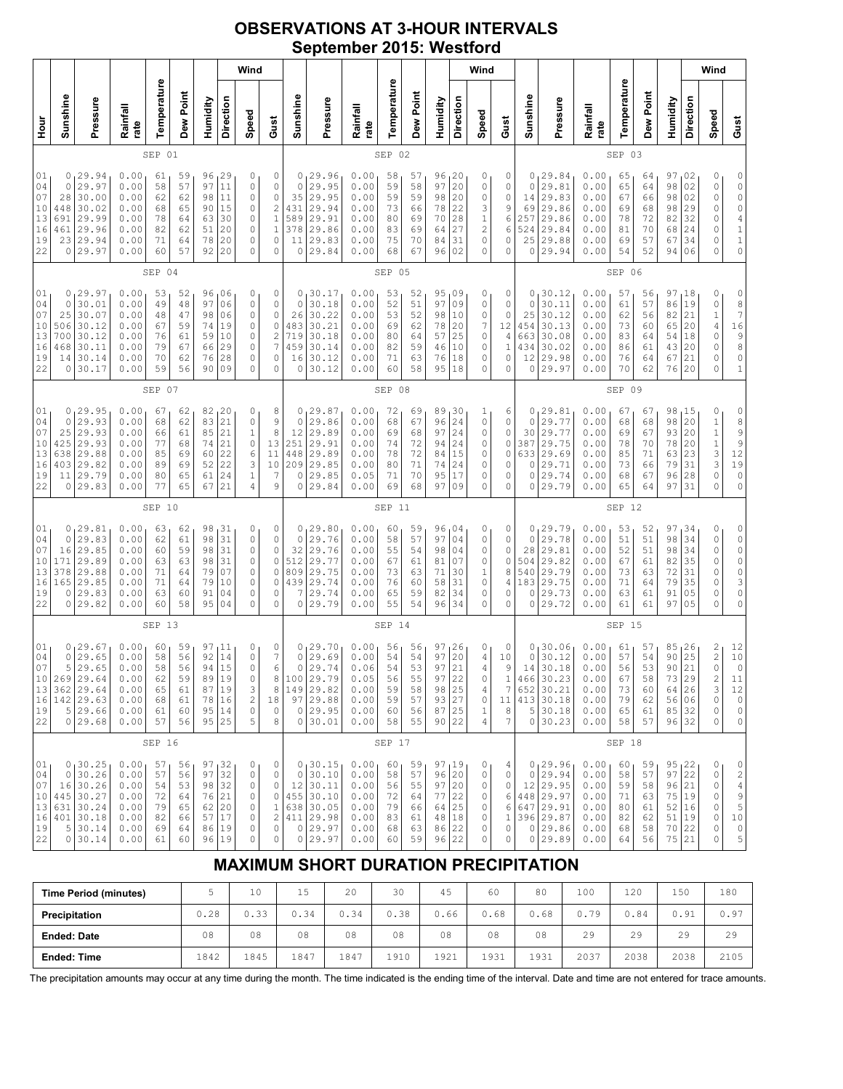# **OBSERVATIONS AT 3-HOUR INTERVALS September 2015: Westford**

|                                                                                                                                                                                                                                                                                                                                                                                                                                                                              | Wind                                                                                                                                                                                                                                                                                                                                                                                                                            |                                                                                            |                                                              |                                              |                                              |                                              |                                                                                   |                                                                       |                                                                                             |                                                              |                                                                                             |                                                              |                                              |                                               |                                                                           | Wind                                            |                                                                       |                                                                      |                                                              |                                                                                       |                                                              |                                              |                                                                             |                                                                                   | Wind                                                                                                             |                                                                                                  |                                                                                                      |
|------------------------------------------------------------------------------------------------------------------------------------------------------------------------------------------------------------------------------------------------------------------------------------------------------------------------------------------------------------------------------------------------------------------------------------------------------------------------------|---------------------------------------------------------------------------------------------------------------------------------------------------------------------------------------------------------------------------------------------------------------------------------------------------------------------------------------------------------------------------------------------------------------------------------|--------------------------------------------------------------------------------------------|--------------------------------------------------------------|----------------------------------------------|----------------------------------------------|----------------------------------------------|-----------------------------------------------------------------------------------|-----------------------------------------------------------------------|---------------------------------------------------------------------------------------------|--------------------------------------------------------------|---------------------------------------------------------------------------------------------|--------------------------------------------------------------|----------------------------------------------|-----------------------------------------------|---------------------------------------------------------------------------|-------------------------------------------------|-----------------------------------------------------------------------|----------------------------------------------------------------------|--------------------------------------------------------------|---------------------------------------------------------------------------------------|--------------------------------------------------------------|----------------------------------------------|-----------------------------------------------------------------------------|-----------------------------------------------------------------------------------|------------------------------------------------------------------------------------------------------------------|--------------------------------------------------------------------------------------------------|------------------------------------------------------------------------------------------------------|
| Hour<br>H                                                                                                                                                                                                                                                                                                                                                                                                                                                                    | Sunshine                                                                                                                                                                                                                                                                                                                                                                                                                        | Pressure                                                                                   | Rainfall<br>rate                                             | Temperature                                  | Dew Point                                    | Humidity                                     | Direction                                                                         | Speed                                                                 | Gust                                                                                        | Sunshine                                                     | Pressure                                                                                    | Rainfall<br>rate                                             | Temperature                                  | Dew Point                                     | Humidity                                                                  | Direction                                       | Speed                                                                 | Gust                                                                 | Sunshine                                                     | Pressure                                                                              | Rainfall<br>rate                                             | Temperature                                  | Dew Point                                                                   | Humidity                                                                          | Direction                                                                                                        | Speed                                                                                            | Gust                                                                                                 |
|                                                                                                                                                                                                                                                                                                                                                                                                                                                                              | 01<br>SEP                                                                                                                                                                                                                                                                                                                                                                                                                       |                                                                                            |                                                              |                                              |                                              |                                              |                                                                                   |                                                                       |                                                                                             |                                                              | SEP 02                                                                                      |                                                              |                                              |                                               |                                                                           |                                                 |                                                                       |                                                                      |                                                              | SEP 03                                                                                |                                                              |                                              |                                                                             |                                                                                   |                                                                                                                  |                                                                                                  |                                                                                                      |
| 29<br>01<br>29.94<br>0.00<br>59<br>96<br>0<br>61<br>0<br>04<br>29.97<br>0.00<br>57<br>97<br>11<br>0<br>0<br>58<br>07<br>30.00<br>98<br>11<br>0<br>28<br>0.00<br>62<br>62<br>10<br>30.02<br>448<br>0.00<br>68<br>65<br>90<br>15<br>0<br>13<br>29.99<br>691<br>0.00<br>78<br>30<br>0<br>64<br>63<br>29.96<br>20<br>0<br>16<br>0.00<br>82<br>62<br>51<br>461<br>19<br>29.94<br>23<br>0.00<br>71<br>64<br>78<br>20<br>0<br>22<br>29.97<br>57<br>92<br>20<br>0<br>0<br>0.00<br>60 |                                                                                                                                                                                                                                                                                                                                                                                                                                 |                                                                                            |                                                              |                                              |                                              |                                              | 0<br>$\mathbb O$<br>$\mathbb O$<br>$\overline{c}$<br>$\,1\,$<br>$\,1\,$<br>0<br>0 | 0<br>$\circ$<br>35<br>431<br>589<br>378<br>11<br>0                    | 29.96<br>29.95<br>29.95<br>29.94<br>29.91<br>29.86<br>29.83<br>29.84                        | 0.00<br>0.00<br>0.00<br>0.00<br>0.00<br>0.00<br>0.00<br>0.00 | 58<br>59<br>59<br>73<br>80<br>83<br>75<br>68                                                | 57<br>58<br>59<br>66<br>69<br>69<br>70<br>67                 | 96<br>97<br>98<br>78<br>70<br>64<br>84<br>96 | 120<br>20<br>20<br>22<br>28<br>27<br>31<br>02 | 0<br>0<br>0<br>3<br>1<br>$\overline{c}$<br>0<br>0                         | 0<br>0<br>0<br>9<br>6<br>6<br>0<br>0            | 0<br>0<br>14<br>69<br>257<br>524<br>25<br>0                           | 29.84<br>29.81<br>29.83<br>29.86<br>29.86<br>29.84<br>29.88<br>29.94 | 0.00<br>0.00<br>0.00<br>0.00<br>0.00<br>0.00<br>0.00<br>0.00 | 65<br>65<br>67<br>69<br>78<br>81<br>69<br>54                                          | 64<br>64<br>66<br>68<br>72<br>70<br>57<br>52                 | 97<br>98<br>98<br>98<br>82<br>68<br>67<br>94 | 02<br>02<br>02<br>29<br>32<br>24<br>34<br>06                                | 0<br>0<br>0<br>0<br>0<br>0<br>$\Omega$<br>0                                       | 0<br>$\circ$<br>$\circ$<br>$\circ$<br>$\overline{4}$<br>$\mathbf 1$<br>$\begin{smallmatrix}1\0\end{smallmatrix}$ |                                                                                                  |                                                                                                      |
|                                                                                                                                                                                                                                                                                                                                                                                                                                                                              | SEP 04                                                                                                                                                                                                                                                                                                                                                                                                                          |                                                                                            |                                                              |                                              |                                              |                                              |                                                                                   |                                                                       |                                                                                             |                                                              | SEP 05                                                                                      |                                                              |                                              |                                               |                                                                           |                                                 |                                                                       |                                                                      |                                                              | SEP 06                                                                                |                                                              |                                              |                                                                             |                                                                                   |                                                                                                                  |                                                                                                  |                                                                                                      |
| 01<br>04<br>07<br>10<br>13<br>16<br>19<br>22                                                                                                                                                                                                                                                                                                                                                                                                                                 | 0<br>0<br>25<br>506<br>700<br>468<br>14<br>0                                                                                                                                                                                                                                                                                                                                                                                    | 29.97<br>30.01<br>30.07<br>30.12<br>30.12<br>30.11<br>30.14<br>30.17                       | 0.00<br>0.00<br>0.00<br>0.00<br>0.00<br>0.00<br>0.00<br>0.00 | 53<br>49<br>48<br>67<br>76<br>79<br>70<br>59 | 52<br>48<br>47<br>59<br>61<br>67<br>62<br>56 | 97<br>98<br>74<br>59<br>66<br>76<br>90       | 96 06<br>06<br>06<br>19<br>10<br>29<br>28<br>09                                   | 0<br>0<br>0<br>0<br>0<br>0<br>0<br>0                                  | 0<br>0<br>0<br>$\circ$<br>$\sqrt{2}$<br>$\overline{7}$<br>0<br>0                            | 0<br>$\circ$<br>26<br>483<br>719<br>459<br>16<br>0           | 130.17<br>30.18<br>30.22<br>30.21<br>30.18<br>30.14<br>30.12<br>30.12                       | 0.00<br>0.00<br>0.00<br>0.00<br>0.00<br>0.00<br>0.00<br>0.00 | 53<br>52<br>53<br>69<br>80<br>82<br>71<br>60 | 52<br>51<br>52<br>62<br>64<br>59<br>63<br>58  | 95,09<br>97<br>98<br>78<br>57<br>46<br>76<br>95                           | 09<br>10<br>20<br>25<br>10<br>18<br>18          | 0<br>0<br>0<br>7<br>0<br>0<br>0<br>0                                  | 0<br>0<br>0<br>12<br>4<br>$\mathbf{1}$<br>0<br>0                     | 0<br>0<br>25<br>454<br>663<br>434<br>12<br>$\circ$           | 30.12<br>30.11<br>30.12<br>30.13<br>30.08<br>30.02<br>29.98<br>29.97                  | 0.00<br>0.00<br>0.00<br>0.00<br>0.00<br>0.00<br>0.00<br>0.00 | 57<br>61<br>62<br>73<br>83<br>86<br>76<br>70 | 56<br>57<br>56<br>60<br>64<br>61<br>64<br>62                                | 97,18<br>86<br>82<br>65<br>54<br>43<br>67<br>76                                   | 19<br>21<br>20<br>18<br>20<br>21<br>20                                                                           | 0<br>0<br>$\mathbf 1$<br>$\sqrt{4}$<br>$\mathbb O$<br>0<br>0<br>0                                | 0<br>$\begin{array}{c} 8 \\ 7 \end{array}$<br>16<br>9<br>8<br>$\circ$<br>$\mathbf 1$                 |
|                                                                                                                                                                                                                                                                                                                                                                                                                                                                              | SEP 07                                                                                                                                                                                                                                                                                                                                                                                                                          |                                                                                            |                                                              |                                              |                                              |                                              |                                                                                   |                                                                       |                                                                                             |                                                              |                                                                                             | SEP 08                                                       |                                              |                                               |                                                                           |                                                 |                                                                       |                                                                      |                                                              |                                                                                       | SEP 09                                                       |                                              |                                                                             |                                                                                   |                                                                                                                  |                                                                                                  |                                                                                                      |
| 01<br>04<br>07<br>10<br>13<br>16<br>19<br>22                                                                                                                                                                                                                                                                                                                                                                                                                                 | 0.00<br>0, 29.95<br>82, 20<br>67<br>62<br>0<br>29.93<br>0.00<br>62<br>83<br>21<br>0<br>0<br>68<br>29.93<br>21<br>$1\,$<br>25<br>0.00<br>85<br>66<br>61<br>29.93<br>21<br>0<br>425<br>0.00<br>77<br>74<br>68<br>29.88<br>638<br>22<br>6<br>0.00<br>85<br>69<br>60<br>29.82<br>3<br>22<br>403<br>0.00<br>89<br>69<br>52<br>$\,1\,$<br>11 29.79<br>0.00<br>80<br>65<br>61<br>24<br>29.83<br>77<br>65<br>67<br>21<br>4<br>0<br>0.00 |                                                                                            |                                                              |                                              |                                              | 8<br>9<br>8<br>13<br>11<br>10<br>7<br>9      | 0<br>$\circ$<br>12<br>251<br>448<br>209<br>0<br>$\circ$                           | 129.87<br>29.86<br>29.89<br>29.91<br>29.89<br>29.85<br>29.85<br>29.84 | 0.00<br>0.00<br>0.00<br>0.00<br>0.00<br>0.00<br>0.05<br>0.00                                | 72<br>68<br>69<br>74<br>78<br>80<br>71<br>69                 | 69<br>67<br>68<br>72<br>72<br>71<br>70<br>68                                                | 89,30<br>96<br>97<br>94<br>84<br>74<br>95<br>97              | 24<br>24<br>24<br>15<br>24<br>17<br>09       | 1<br>0<br>0<br>0<br>0<br>0<br>0<br>0          | 6<br>0<br>0<br>0<br>0<br>0<br>0<br>0                                      | 0<br>0<br>30<br>387<br>633<br>0<br>$\circ$<br>0 | 129.81<br>29.77<br>29.77<br>29.75<br>29.69<br>29.71<br>29.74<br>29.79 | 0.00<br>0.00<br>0.00<br>0.00<br>0.00<br>0.00<br>0.00<br>0.00         | 67<br>68<br>69<br>78<br>85<br>73<br>68<br>65                 | 67<br>68<br>67<br>70<br>71<br>66<br>67<br>64                                          | 98, 15<br>98<br>93<br>78<br>63<br>79<br>96<br>97             | 20<br>20<br>20<br>23<br>31<br>28<br>31       | 0<br>$\mathbf 1$<br>$\mathbbm{1}$<br>$\mathbf 1$<br>3<br>3<br>0<br>$\Omega$ | 0<br>$\begin{array}{c} 8 \\ 8 \\ 9 \\ 12 \end{array}$<br>19<br>$\circ$<br>$\circ$ |                                                                                                                  |                                                                                                  |                                                                                                      |
|                                                                                                                                                                                                                                                                                                                                                                                                                                                                              |                                                                                                                                                                                                                                                                                                                                                                                                                                 |                                                                                            |                                                              | SEP 10                                       |                                              |                                              |                                                                                   |                                                                       |                                                                                             |                                                              |                                                                                             |                                                              | SEP 11                                       |                                               |                                                                           |                                                 |                                                                       |                                                                      |                                                              |                                                                                       |                                                              | SEP 12                                       |                                                                             |                                                                                   |                                                                                                                  |                                                                                                  |                                                                                                      |
| 01<br>04<br>07<br>10<br>13<br>16<br>19<br>22                                                                                                                                                                                                                                                                                                                                                                                                                                 | 0<br>0<br>16<br>171<br>378<br>165<br>0<br>0                                                                                                                                                                                                                                                                                                                                                                                     | 129.81<br>29.83<br>29.85<br>29.89<br>29.88<br>29.85<br>29.83<br>29.82                      | 0.00<br>0.00<br>0.00<br>0.00<br>0.00<br>0.00<br>0.00<br>0.00 | 63<br>62<br>60<br>63<br>71<br>71<br>63<br>60 | 62<br>61<br>59<br>63<br>64<br>64<br>60<br>58 | 98<br>98<br>98<br>98<br>79<br>79<br>91<br>95 | 31<br>31<br>31<br>31<br>07<br>10<br>04<br>04                                      | 0<br>0<br>0<br>0<br>0<br>0<br>0<br>0                                  | 0<br>$\mathbb O$<br>$\mathbb O$<br>$\circ$<br>$\circ$<br>0<br>0<br>0                        | 0<br>$\circ$<br>32<br>512<br>809<br>439<br>7<br>0            | 129.80<br>29.76<br>29.76<br>29.77<br>29.75<br>29.74<br>29.74<br>29.79                       | 0.00<br>0.00<br>0.00<br>0.00<br>0.00<br>0.00<br>0.00<br>0.00 | 60<br>58<br>55<br>67<br>73<br>76<br>65<br>55 | 59<br>57<br>54<br>61<br>63<br>60<br>59<br>54  | 96,04<br>97<br>98<br>81<br>71<br>58<br>82<br>96                           | 04<br>04<br>07<br>30<br>31<br>34<br>34          | 0<br>0<br>0<br>0<br>$1\,$<br>0<br>0<br>0                              | 0<br>0<br>0<br>0<br>8<br>4<br>0<br>0                                 | 0<br>0<br>28<br>504<br>540<br>183<br>0<br>0                  | 29.79<br>29.78<br>29.81<br>29.82<br>29.79<br>29.75<br>29.73<br>29.72                  | 0.00<br>0.00<br>0.00<br>0.00<br>0.00<br>0.00<br>0.00<br>0.00 | 53<br>51<br>52<br>67<br>73<br>71<br>63<br>61 | 52<br>51<br>51<br>61<br>63<br>64<br>61<br>61                                | 97<br>98<br>98<br>82<br>72<br>79<br>91<br>97                                      | 34<br>34<br>34<br>35<br>31<br>35<br>05<br>05                                                                     | 0<br>0<br>0<br>0<br>0<br>0<br>0<br>$\Omega$                                                      | 0<br>$\circ$<br>$\circ$<br>0<br>$\circ$<br>3<br>$\circ$<br>0                                         |
|                                                                                                                                                                                                                                                                                                                                                                                                                                                                              |                                                                                                                                                                                                                                                                                                                                                                                                                                 |                                                                                            |                                                              | SEP 13                                       |                                              |                                              |                                                                                   |                                                                       |                                                                                             |                                                              |                                                                                             |                                                              | SEP 14                                       |                                               |                                                                           |                                                 |                                                                       |                                                                      |                                                              |                                                                                       |                                                              | SEP 15                                       |                                                                             |                                                                                   |                                                                                                                  |                                                                                                  |                                                                                                      |
| 01<br>04<br>07<br>10 <sub>1</sub><br>13<br>19<br>22                                                                                                                                                                                                                                                                                                                                                                                                                          | 0<br>5                                                                                                                                                                                                                                                                                                                                                                                                                          | 0, 29.67<br>29.65<br>29.65<br>269 29.64<br>362 29.64<br>16 142 29.63<br>5 29.66<br>0 29.68 | 0.00<br>0.00<br>0.00<br>0.00<br>0.00<br>0.00<br>0.00<br>0.00 | 60<br>58<br>58<br>62<br>65<br>68<br>61<br>57 | 59<br>56<br>56<br>59<br>61<br>61<br>60<br>56 | 92<br>94<br>89<br>87                         | 97,11<br>14<br>15<br>19<br>19<br>78 16<br>95 14<br>95 25                          | 0<br>0<br>$\mathbf 0$<br>0<br>3<br>$\sqrt{2}$<br>0<br>5               | 0<br>7<br>6<br>8<br>$\,$ 8 $\,$<br>18<br>$\mathbb O$<br>8                                   | 0<br>$\mathbb O$<br>$\circ$<br>149<br>0                      | 129.70<br>29.69<br>29.74<br>100 29.79<br>29.82<br>97 29.88<br>0 29.95<br>30.01              | 0.00<br>0.00<br>0.06<br>0.05<br>0.00<br>0.00<br>0.00<br>0.00 | 56<br>54<br>54<br>56<br>59<br>59<br>60<br>58 | 56<br>54<br>53<br>55<br>58<br>57<br>56<br>55  | 97, 26<br>97<br>97<br>97<br>98<br>93   27<br>87<br>90                     | 20<br>21<br>22<br>25<br>25<br>22                | 0<br>4<br>4<br>0<br>4<br>$\mathbb O$<br>1<br>4                        | 0<br>10<br>9<br>1<br>7<br>11<br>8<br>7                               | 0<br>0<br>14<br>466<br>652<br>5<br>$\circ$                   | 30.06<br>30.12<br>30.18<br>30.23<br>30.21<br>413 30.18<br>30.18<br>30.23              | 0.00<br>0.00<br>0.00<br>0.00<br>0.00<br>0.00<br>0.00<br>0.00 | 61<br>57<br>56<br>67<br>73<br>79<br>65<br>58 | 57<br>54<br>53<br>58<br>60<br>62<br>61<br>57                                | 85, 26<br>90<br>90<br>73 29<br>64 26<br>56 06<br>85 32<br>96 32                   | 25<br>21                                                                                                         | 2<br>$\overline{\mathbf{c}}$<br>$\circ$<br>$\overline{\mathbf{c}}$<br>3<br>$\mathbb O$<br>0<br>0 | 12<br>10<br>0<br>11<br>$12$<br>$\circ$<br>$\mathbb O$<br>$\mathbb O$                                 |
|                                                                                                                                                                                                                                                                                                                                                                                                                                                                              |                                                                                                                                                                                                                                                                                                                                                                                                                                 |                                                                                            |                                                              | SEP 16                                       |                                              |                                              |                                                                                   |                                                                       |                                                                                             |                                                              |                                                                                             |                                                              | SEP 17                                       |                                               |                                                                           |                                                 |                                                                       |                                                                      |                                                              |                                                                                       |                                                              | SEP 18                                       |                                                                             |                                                                                   |                                                                                                                  |                                                                                                  |                                                                                                      |
| 01<br>04<br>07<br>10<br>13<br>16<br>19<br>22                                                                                                                                                                                                                                                                                                                                                                                                                                 | 0                                                                                                                                                                                                                                                                                                                                                                                                                               | 0, 30.25<br>30.26<br>16 30.26<br>445 30.27<br>631 30.24<br>401 30.18<br>5 30.14<br>0 30.14 | 0.00<br>0.00<br>0.00<br>0.00<br>0.00<br>0.00<br>0.00<br>0.00 | 57<br>57<br>54<br>72<br>79<br>82<br>69<br>61 | 56<br>56<br>53<br>64<br>65<br>66<br>64<br>60 | 98<br>76<br>57                               | 97,32<br>97 32<br>32<br>21<br>62 20<br>17<br>86 19<br>96 19                       | 0<br>0<br>0<br>0<br>0<br>0<br>0<br>0                                  | 0<br>$\circ$<br>$\circ$<br>0<br>$\mathbf 1$<br>$\overline{c}$<br>$\mathbb O$<br>$\mathbb O$ | $\circ$<br>411<br>0                                          | 0, 30.15<br>30.10<br>$12 \mid 30.11$<br>455 30.10<br>638 30.05<br>29.98<br>29.97<br>0 29.97 | 0.00<br>0.00<br>0.00<br>0.00<br>0.00<br>0.00<br>0.00<br>0.00 | 60<br>58<br>56<br>72<br>79<br>83<br>68<br>60 | 59<br>57<br>55<br>64<br>66<br>61<br>63<br>59  | $\frac{97}{96}$ $\Big  \frac{19}{20}$<br>97<br>77<br>64<br>48<br>86<br>96 | 20<br>22<br>25<br>18<br>22<br>22                | 0<br>0<br>0<br>0<br>0<br>0<br>0<br>0                                  | 4<br>0<br>0<br>6<br>6<br>$\mathbf{1}$<br>0<br>0                      | 0<br>12<br>647                                               | 0, 29.96<br>29.94<br>29.95<br>448 29.97<br>29.91<br>396 29.87<br>$0$ 29.86<br>0 29.89 | 0.00<br>0.00<br>0.00<br>0.00<br>0.00<br>0.00<br>0.00<br>0.00 | 60<br>58<br>59<br>71<br>80<br>82<br>68<br>64 | 59<br>57<br>58<br>63<br>61<br>62<br>58<br>56                                | 95, 22<br>97 22<br>96 21<br>75 19<br>52 16<br>51 19<br>70 22<br>75 21             |                                                                                                                  | 0<br>0<br>0<br>0<br>0<br>0<br>0<br>0                                                             | 0<br>$\sqrt{2}$<br>$\overline{4}$<br>$\begin{array}{c} 9 \\ 5 \end{array}$<br>10<br>$\mathbb O$<br>5 |

# **MAXIMUM SHORT DURATION PRECIPITATION**

| <b>Time Period (minutes)</b> |      | 10   | Б<br>⊥J | 20   | 30   | 45   | 60   | 80   | 100  | 120  | 150  | 180  |
|------------------------------|------|------|---------|------|------|------|------|------|------|------|------|------|
| Precipitation                | 0.28 | 0.33 | 0.34    | 0.34 | 0.38 | 0.66 | 0.68 | 0.68 | 0.79 | 0.84 | 0.91 | 0.97 |
| <b>Ended: Date</b>           | 08   | 08   | 08      | 08   | 08   | 08   | 08   | 08   | 29   | 29   | 29   | 29   |
| <b>Ended: Time</b>           | 1842 | 1845 | 1847    | 1847 | 1910 | 1921 | 1931 | 1931 | 2037 | 2038 | 2038 | 2105 |

The precipitation amounts may occur at any time during the month. The time indicated is the ending time of the interval. Date and time are not entered for trace amounts.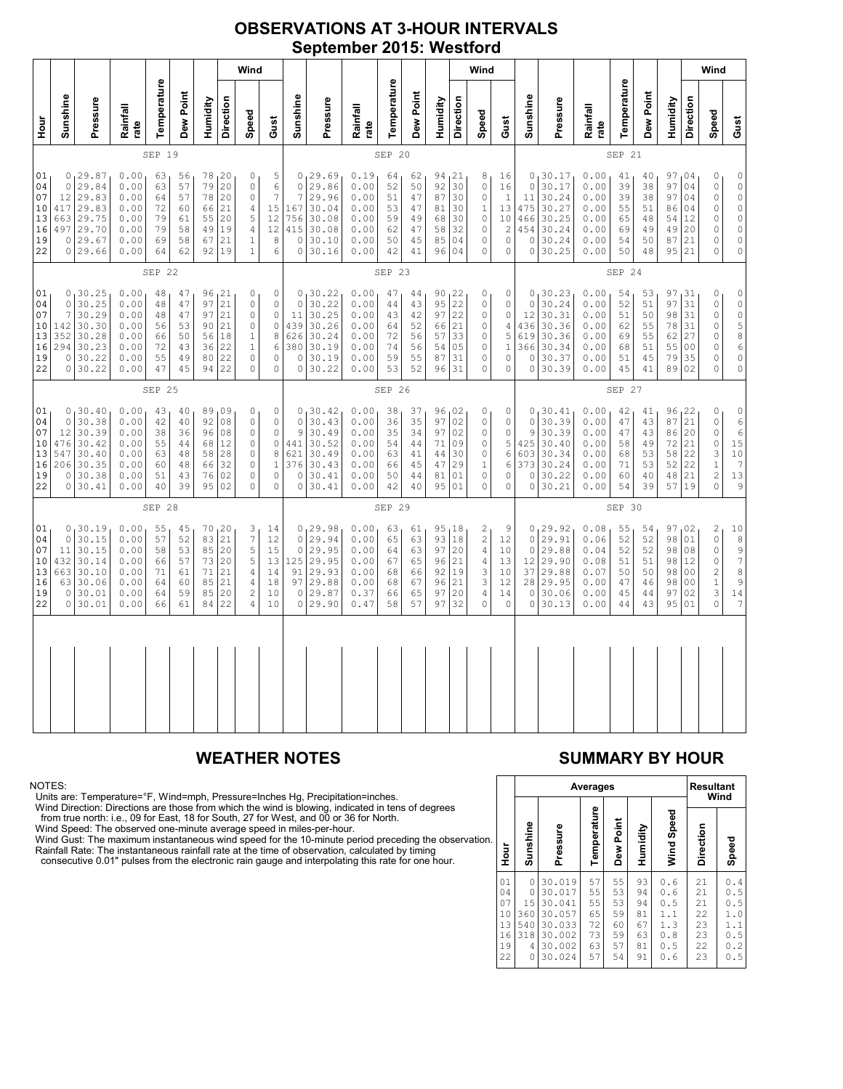# **OBSERVATIONS AT 3-HOUR INTERVALS September 2015: Westford**

|                                              | Wind                                                      |                                                                           |                                                              |                                              |                                              |                                        |                                                          |                                                                                     |                                                                                                       |                                                                         |                                                                             |                                                              |                                              |                                                  | Wind                                             |                                                |                                                                                                  |                                                                     |                                                      |                                                                                 |                                                              |                                              |                                              | Wind                                                |                                                                      |                                                                                                                |                                                                                                                      |
|----------------------------------------------|-----------------------------------------------------------|---------------------------------------------------------------------------|--------------------------------------------------------------|----------------------------------------------|----------------------------------------------|----------------------------------------|----------------------------------------------------------|-------------------------------------------------------------------------------------|-------------------------------------------------------------------------------------------------------|-------------------------------------------------------------------------|-----------------------------------------------------------------------------|--------------------------------------------------------------|----------------------------------------------|--------------------------------------------------|--------------------------------------------------|------------------------------------------------|--------------------------------------------------------------------------------------------------|---------------------------------------------------------------------|------------------------------------------------------|---------------------------------------------------------------------------------|--------------------------------------------------------------|----------------------------------------------|----------------------------------------------|-----------------------------------------------------|----------------------------------------------------------------------|----------------------------------------------------------------------------------------------------------------|----------------------------------------------------------------------------------------------------------------------|
| moH                                          | Sunshine                                                  | Pressure                                                                  | Rainfall<br>rate                                             | Temperature                                  | Dew Point                                    | Humidity                               | Direction                                                | Speed                                                                               | Gust                                                                                                  | Sunshine                                                                | Pressure                                                                    | Rainfall<br>rate                                             | Temperature                                  | Dew Point                                        | Humidity                                         | Direction                                      | Speed                                                                                            | Gust                                                                | Sunshine                                             | Pressure                                                                        | Rainfall<br>rate                                             | Temperature                                  | Dew Point                                    | Humidity                                            | Direction                                                            | Speed                                                                                                          | Gust                                                                                                                 |
|                                              | SEP 19                                                    |                                                                           |                                                              |                                              |                                              |                                        |                                                          |                                                                                     |                                                                                                       | SEP 20                                                                  |                                                                             |                                                              |                                              |                                                  |                                                  |                                                |                                                                                                  |                                                                     | SEP 21                                               |                                                                                 |                                                              |                                              |                                              |                                                     |                                                                      |                                                                                                                |                                                                                                                      |
| 01<br>04<br>07<br>10<br>13<br>16<br>19<br>22 | 0<br>12<br>417<br>663<br>497<br>0                         | 0, 29.87<br>29.84<br>29.83<br>29.83<br>29.75<br>29.70<br>29.67<br>0 29.66 | 0.00<br>0.00<br>0.00<br>0.00<br>0.00<br>0.00<br>0.00<br>0.00 | 63<br>63<br>64<br>72<br>79<br>79<br>69<br>64 | 56<br>57<br>57<br>60<br>61<br>58<br>58<br>62 | 79<br>78<br>66<br>55<br>49<br>67<br>92 | 78, 20<br>20<br>20<br>21<br>20<br>19<br>21<br>19         | 0<br>$\mathbb O$<br>$\mathbb O$<br>4<br>$\mathsf S$<br>$\sqrt{4}$<br>$1\,$<br>$1\,$ | $\begin{array}{c} 5 \\ 6 \end{array}$<br>$\boldsymbol{7}$<br>15<br>12<br>12<br>8<br>$\epsilon$        | $\mathbf 0$<br>7<br>167<br>756<br>415<br>$\circ$<br>$\mathsf{O}\xspace$ | 0, 29.69<br>29.86<br>29.96<br>30.04<br>30.08<br>30.08<br>30.10<br>30.16     | 0.19<br>0.00<br>0.00<br>0.00<br>0.00<br>0.00<br>0.00<br>0.00 | 64<br>52<br>51<br>53<br>59<br>62<br>50<br>42 | 62<br>50<br>47<br>47<br>49<br>47<br>45<br>41     | 94, 21<br>92<br>87<br>81<br>68<br>58<br>85<br>96 | 30<br>30<br>30<br>30<br>32<br>04<br>04         | 8<br>$\mathbb O$<br>0<br>$\,1$<br>$\mathbb O$<br>0<br>$\mathsf{O}\xspace$<br>$\mathsf{O}\xspace$ | 16<br>16<br>$\,1\,$<br>13<br>10<br>$\sqrt{2}$<br>$\circ$<br>$\circ$ | $\circ$<br>11<br>475<br>466<br>454<br>$\circ$        | 0130.17<br>30.17<br>30.24<br>30.27<br>30.25<br>30.24<br>30.24<br>0 30.25        | 0.00<br>0.00<br>0.00<br>0.00<br>0.00<br>0.00<br>0.00<br>0.00 | 41<br>39<br>39<br>55<br>65<br>69<br>54<br>50 | 40<br>38<br>38<br>51<br>48<br>49<br>50<br>48 | 97,04<br>97<br>97<br>86<br>54<br>49<br>87<br>95     | 04<br>04<br>04<br>12<br>20<br>21<br>21                               | $\mathbb O$<br>$\mathbb O$<br>$\mathbb O$<br>$\circ$<br>$\mathbb O$<br>$\mathbb O$<br>0<br>$\mathsf{O}\xspace$ | $\begin{matrix} 0 \\ 0 \\ 0 \end{matrix}$<br>$\begin{matrix} 0 \\ 0 \\ 0 \end{matrix}$<br>$\mathbb O$<br>$\mathbb O$ |
|                                              | SEP 22                                                    |                                                                           |                                                              |                                              |                                              |                                        |                                                          |                                                                                     |                                                                                                       | SEP 23                                                                  |                                                                             |                                                              |                                              |                                                  |                                                  |                                                |                                                                                                  |                                                                     | SEP 24                                               |                                                                                 |                                                              |                                              |                                              |                                                     |                                                                      |                                                                                                                |                                                                                                                      |
| 01<br>04<br>07<br>10<br>13<br>16<br>19<br>22 | $\Omega$<br>7<br>142<br>352<br>294<br>0<br>0              | 0, 30.25<br>30.25<br>30.29<br>30.30<br>30.28<br>30.23<br>30.22<br>30.22   | 0.00<br>0.00<br>0.00<br>0.00<br>0.00<br>0.00<br>0.00<br>0.00 | 48<br>48<br>48<br>56<br>66<br>72<br>55<br>47 | 47<br>47<br>47<br>53<br>50<br>43<br>49<br>45 | 97<br>97<br>56<br>36<br>94             | 96, 21<br>21<br>21<br>90 21<br>18<br>22<br>80 22<br>22   | 0<br>$\circ$<br>$\circ$<br>$\circ$<br>$\mathbf{1}$<br>$1\,$<br>$\circ$<br>0         | $\mathbb O$<br>$\mathbb O$<br>$\mathsf{O}\xspace$<br>$\mathbb O$<br>$\,$ 8 $\,$<br>6<br>0<br>$\Omega$ | $\Omega$<br>11<br>439<br>626<br>380<br>$\circ$<br>$\Omega$              | 0, 30.22<br>30.22<br>30.25<br>30.26<br>30.24<br>30.19<br>30.19<br>30.22     | 0.00<br>0.00<br>0.00<br>0.00<br>0.00<br>0.00<br>0.00<br>0.00 | 47<br>44<br>43<br>64<br>72<br>74<br>59<br>53 | $4\,4$<br>43<br>42<br>52<br>56<br>56<br>55<br>52 | 90<br>95<br>97<br>66<br>57<br>54<br>87<br>96     | 122<br>22<br>22<br>21<br>33<br>05<br>31<br>31  | 0<br>$\mathbb O$<br>0<br>$\circ$<br>$\mathbb O$<br>$\mathbb O$<br>0<br>$\Omega$                  | 0<br>$\circ$<br>$\circ$<br>4<br>5<br>$1\,$<br>0<br>$\Omega$         | $\Omega$<br>12<br>436<br>619<br>366<br>0<br>$\Omega$ | 0, 30.23<br>30.24<br>30.31<br>30.36<br>30.36<br>30.34<br>30.37<br>30.39         | 0.00<br>0.00<br>0.00<br>0.00<br>0.00<br>0.00<br>0.00<br>0.00 | 54<br>52<br>51<br>62<br>69<br>68<br>51<br>45 | 53<br>51<br>50<br>55<br>55<br>51<br>45<br>41 | 97<br>97<br>98<br>78<br>62<br>55<br>79<br>89        | 31 ا<br>31<br>31<br>31<br>27<br>0 <sub>0</sub><br>35<br>02           | $\mathbb O$<br>$\mathbb O$<br>$\circ$<br>$\circ$<br>$\mathbb O$<br>0<br>0<br>0                                 | 000586<br>$\mathbb O$<br>$\mathbb O$                                                                                 |
|                                              |                                                           |                                                                           |                                                              | SEP 25                                       |                                              |                                        |                                                          |                                                                                     |                                                                                                       |                                                                         |                                                                             |                                                              | SEP 26                                       |                                                  |                                                  |                                                |                                                                                                  |                                                                     |                                                      |                                                                                 |                                                              | SEP 27                                       |                                              |                                                     |                                                                      |                                                                                                                |                                                                                                                      |
| 01<br>04<br>07<br>10<br>13<br>16<br>19<br>22 | $\circ$<br>12<br>476<br>547<br>206<br>0<br>$\circ$        | 0, 30.40<br>30.38<br>30.39<br>30.42<br>30.40<br>30.35<br>30.38<br>30.41   | 0.00<br>0.00<br>0.00<br>0.00<br>0.00<br>0.00<br>0.00<br>0.00 | 43<br>42<br>38<br>55<br>63<br>60<br>51<br>40 | 40<br>40<br>36<br>44<br>48<br>48<br>43<br>39 | 96<br>68<br>58<br>66                   | 89,09<br>92 08<br>08<br>12<br>28<br>32<br>76 02<br>95 02 | 0<br>$\circ$<br>$\circ$<br>0<br>0<br>$\circ$<br>0<br>$\overline{0}$                 | 0<br>0<br>$\mathbb O$<br>$\mathbb O$<br>8<br>$1\,$<br>0<br>$\circ$                                    | $\mathbf 0$<br>9<br>441<br>621<br>376<br>$\circ$<br>$\mathbf 0$         | 0, 30.42<br>30.43<br>30.49<br>30.52<br>30.49<br>30.43<br>30.41<br>30.41     | 0.00<br>0.00<br>0.00<br>0.00<br>0.00<br>0.00<br>0.00<br>0.00 | 38<br>36<br>35<br>54<br>63<br>66<br>50<br>42 | 37<br>35<br>34<br>44<br>41<br>45<br>44<br>40     | 96<br>97<br>97<br>71<br>44<br>47<br>81<br>95     | 102<br>02<br>02<br>09<br>30<br>29<br>01<br>01  | 0<br>$\mathbb O$<br>$\mathbb O$<br>0<br>$\mathbb O$<br>$1\,$<br>$\mathsf{O}\xspace$<br>0         | 0<br>0<br>$\circ$<br>5<br>6<br>6<br>0<br>0                          | $\Omega$<br>9<br>425<br>373<br>0<br>0                | 0, 30.41<br>30.39<br>30.39<br>30.40<br>603 30.34<br>30.24<br>30.22<br>30.21     | 0.00<br>0.00<br>0.00<br>0.00<br>0.00<br>0.00<br>0.00<br>0.00 | 42<br>47<br>47<br>58<br>68<br>71<br>60<br>54 | 41<br>43<br>43<br>49<br>53<br>53<br>40<br>39 | 96, 22<br>87<br>86<br>72<br>58<br>52<br>48<br>57 19 | 21<br>20<br>21<br>22<br>22<br>21                                     | 0<br>$\circ$<br>0<br>$\mathbb O$<br>3<br>$\mathbf 1$<br>$\overline{c}$<br>$\circ$                              | $\begin{array}{c} 0 \\ 6 \\ 6 \end{array}$<br>15<br>$10$<br>$\overline{7}$<br>13<br>9                                |
|                                              |                                                           |                                                                           |                                                              | SEP 28                                       |                                              |                                        |                                                          |                                                                                     |                                                                                                       |                                                                         |                                                                             |                                                              | SEP 29                                       |                                                  |                                                  |                                                |                                                                                                  |                                                                     |                                                      |                                                                                 |                                                              | SEP 30                                       |                                              |                                                     |                                                                      |                                                                                                                |                                                                                                                      |
| 01<br>04<br>07<br>10<br>13<br>16<br>19<br>22 | $\circ$<br>11<br>432<br>663<br>63<br>$\circ$<br>$\circ$ 1 | 0, 30.19<br>30.15<br>30.15<br>30.14<br>30.10<br>30.06<br>30.01<br>30.01   | 0.00<br>0.00<br>0.00<br>0.00<br>0.00<br>0.00<br>0.00<br>0.00 | 55<br>57<br>58<br>66<br>71<br>64<br>64<br>66 | 45<br>52<br>53<br>57<br>61<br>60<br>59<br>61 | 70<br>85<br>73<br>71<br>85<br>85<br>84 | 20<br>83 21<br>20<br>20<br>21<br>21<br>20<br>22          | 3<br>$\overline{7}$<br>$\mathsf S$<br>5<br>4<br>$\overline{4}$<br>$\sqrt{2}$<br>4   | 14<br>12<br>15<br>13<br>14<br>18<br>10<br>10                                                          | $\mathbb O$<br>$\circ$<br>91<br>97<br>$\circ$<br>$\circ$                | 0, 29.98<br>29.94<br>29.95<br>125 29.95<br>29.93<br>29.88<br>29.87<br>29.90 | 0.00<br>0.00<br>0.00<br>0.00<br>0.00<br>0.00<br>0.37<br>0.47 | 63<br>65<br>64<br>67<br>68<br>68<br>66<br>58 | 61<br>63<br>63<br>65<br>66<br>67<br>65<br>57     | 95<br>93<br>97<br>96<br>92<br>96<br>97<br>97     | 18 ا<br>18<br>20<br>21<br>19<br>21<br>20<br>32 | 2<br>$\sqrt{2}$<br>4<br>$\sqrt{4}$<br>3<br>3<br>4<br>$\Omega$                                    | 9<br>12<br>10<br>13<br>10<br>12<br>14<br>0                          | $\circ$<br>$\circ$<br>12<br>$\circ$                  | 0, 29.92<br>29.91<br>29.88<br>29.90<br>37 29.88<br>28 29.95<br>30.06<br>0 30.13 | 0.08<br>0.06<br>0.04<br>0.08<br>0.07<br>0.00<br>0.00<br>0.00 | 55<br>52<br>52<br>51<br>50<br>47<br>45<br>44 | 54<br>52<br>52<br>51<br>50<br>46<br>44<br>43 | 97<br>98<br>98<br>98<br>98<br>98<br>97<br>95        | 02<br>01<br>08<br>12<br>0 <sub>0</sub><br>0 <sub>0</sub><br>02<br>01 | $\overline{\mathbf{c}}$<br>$\mathbb O$<br>$\circ$<br>$\circ$<br>$\overline{c}$<br>$\,1\,$<br>3<br>$\Omega$     | $\begin{array}{c}\n10 \\ 8 \\ 9 \\ 7\n\end{array}$<br>8<br>9<br>14<br>7                                              |
|                                              |                                                           |                                                                           |                                                              |                                              |                                              |                                        |                                                          |                                                                                     |                                                                                                       |                                                                         |                                                                             |                                                              |                                              |                                                  |                                                  |                                                |                                                                                                  |                                                                     |                                                      |                                                                                 |                                                              |                                              |                                              |                                                     |                                                                      |                                                                                                                |                                                                                                                      |

### NOTES:

Units are: Temperature=°F, Wind=mph, Pressure=Inches Hg, Precipitation=inches.<br>Wind Direction: Directions are those from which the wind is blowing, indicated in tens of degrees<br>from true north: i.e., 09 for East, 18 for So

# **WEATHER NOTES SUMMARY BY HOUR**

|    |                                              |                                                    |                                                                              | Averages                                     |                                              |                                              |                                                      | <b>Resultant</b>                             | Wind                                                                       |
|----|----------------------------------------------|----------------------------------------------------|------------------------------------------------------------------------------|----------------------------------------------|----------------------------------------------|----------------------------------------------|------------------------------------------------------|----------------------------------------------|----------------------------------------------------------------------------|
| ì. | Hour                                         | Sunshine                                           | Pressure                                                                     | Temperature                                  | Dew Point                                    | Humidity                                     | Wind Speed                                           | Direction                                    | Speed                                                                      |
|    | 01<br>04<br>07<br>10<br>13<br>16<br>19<br>22 | 0<br>0<br>15<br>360<br>540<br>318<br>4<br>$\Omega$ | 30.019<br>30.017<br>30.041<br>30.057<br>30.033<br>30.002<br>30.002<br>30.024 | 57<br>55<br>55<br>65<br>72<br>73<br>63<br>57 | 55<br>53<br>53<br>59<br>60<br>59<br>57<br>54 | 93<br>94<br>94<br>81<br>67<br>63<br>81<br>91 | 0.6<br>0.6<br>0.5<br>1.1<br>1.3<br>0.8<br>0.5<br>0.6 | 21<br>21<br>21<br>22<br>23<br>23<br>22<br>23 | 0<br>.4<br>0<br>.5<br>0<br>.5<br>1.0<br>1.1<br>0.5<br>$\cdot$ 2<br>0<br>.5 |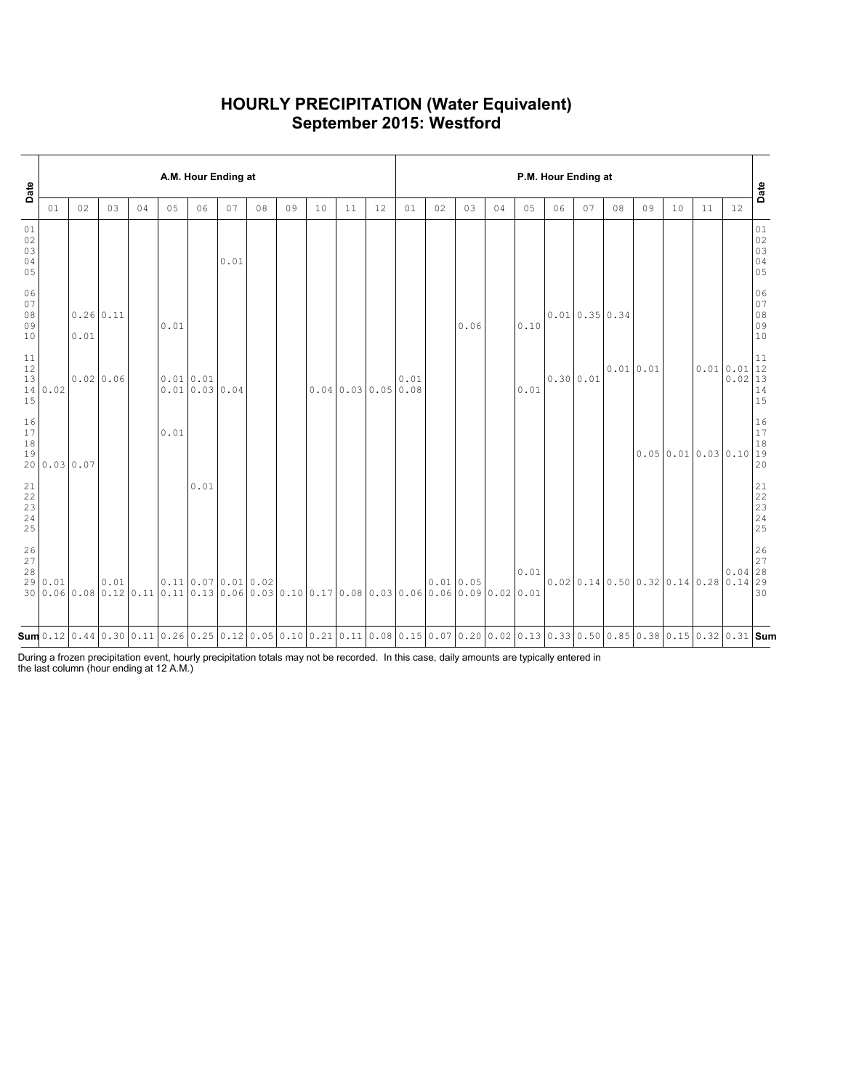## **HOURLY PRECIPITATION (Water Equivalent) September 2015: Westford**

| Date                                                    |              |                     |      |    |                                                                                                                                                        | A.M. Hour Ending at                  |      |    |    |    |    |                  | P.M. Hour Ending at |           |      |    |      |           |                  |           |    |                                      |    |                       | Date                                                      |
|---------------------------------------------------------|--------------|---------------------|------|----|--------------------------------------------------------------------------------------------------------------------------------------------------------|--------------------------------------|------|----|----|----|----|------------------|---------------------|-----------|------|----|------|-----------|------------------|-----------|----|--------------------------------------|----|-----------------------|-----------------------------------------------------------|
|                                                         | 01           | 02                  | 03   | 04 | 05                                                                                                                                                     | 06                                   | 07   | 08 | 09 | 10 | 11 | 12               | 01                  | 02        | 03   | 04 | 05   | 06        | 07               | 08        | 09 | 10                                   | 11 | 12                    |                                                           |
| $01\,$<br>$02$<br>03<br>04<br>05                        |              |                     |      |    |                                                                                                                                                        |                                      | 0.01 |    |    |    |    |                  |                     |           |      |    |      |           |                  |           |    |                                      |    |                       | 01<br>02<br>03<br>04<br>05                                |
| 06<br>$0\,7$<br>$08$<br>09<br>10                        |              | $0.26$ 0.11<br>0.01 |      |    | 0.01                                                                                                                                                   |                                      |      |    |    |    |    |                  |                     |           | 0.06 |    | 0.10 |           | $0.01$ 0.35 0.34 |           |    |                                      |    |                       | 06<br>$\begin{array}{c} 07 \\ 08 \end{array}$<br>09<br>10 |
| $11\,$<br>12<br>13<br>15                                | 14 0.02      | $0.02$ 0.06         |      |    |                                                                                                                                                        | 0.01 0.01<br>0.010.030.04            |      |    |    |    |    | 0.040.030.050.08 | 0.01                |           |      |    | 0.01 | 0.30 0.01 |                  | 0.01 0.01 |    |                                      |    | 0.010.01<br>$0.02$ 13 | 11<br>12<br>14<br>15                                      |
| $\begin{array}{c} 16 \\ 17 \end{array}$<br>$1\,8$<br>19 | 20 0.03 0.07 |                     |      |    | 0.01                                                                                                                                                   |                                      |      |    |    |    |    |                  |                     |           |      |    |      |           |                  |           |    | 0.050.010.030.1019                   |    |                       | 16<br>17<br>18<br>20                                      |
| 21<br>22<br>$\frac{23}{24}$<br>25                       |              |                     |      |    |                                                                                                                                                        | 0.01                                 |      |    |    |    |    |                  |                     |           |      |    |      |           |                  |           |    |                                      |    |                       | 21<br>22<br>23<br>24<br>25                                |
| $\frac{26}{27}$<br>28                                   | 29 0.01      |                     | 0.01 |    | $30 0.06 0.08 0.12 0.11 0.11 0.13 0.06 0.03 0.10 0.17 0.08 0.03 0.06 0.06 0.09 0.02 0.01$                                                              | $0.11 \mid 0.07 \mid 0.01 \mid 0.02$ |      |    |    |    |    |                  |                     | 0.01 0.05 |      |    | 0.01 |           |                  |           |    | $0.02$ 0.14 0.50 0.32 0.14 0.28 0.14 |    | $0.04$ 28             | 26<br>27<br> 29<br>30                                     |
|                                                         |              |                     |      |    | $\mathsf{sum}$ 0.12 0.44 0.30 0.11 0.26 0.25 0.12 0.05 0.10 0.21 0.11 0.08 0.15 0.07 0.20 0.02 0.13 0.33 0.50 0.85 0.38 0.15 0.32 0.31  $\mathsf{Sum}$ |                                      |      |    |    |    |    |                  |                     |           |      |    |      |           |                  |           |    |                                      |    |                       |                                                           |

During a frozen precipitation event, hourly precipitation totals may not be recorded. In this case, daily amounts are typically entered in the last column (hour ending at 12 A.M.)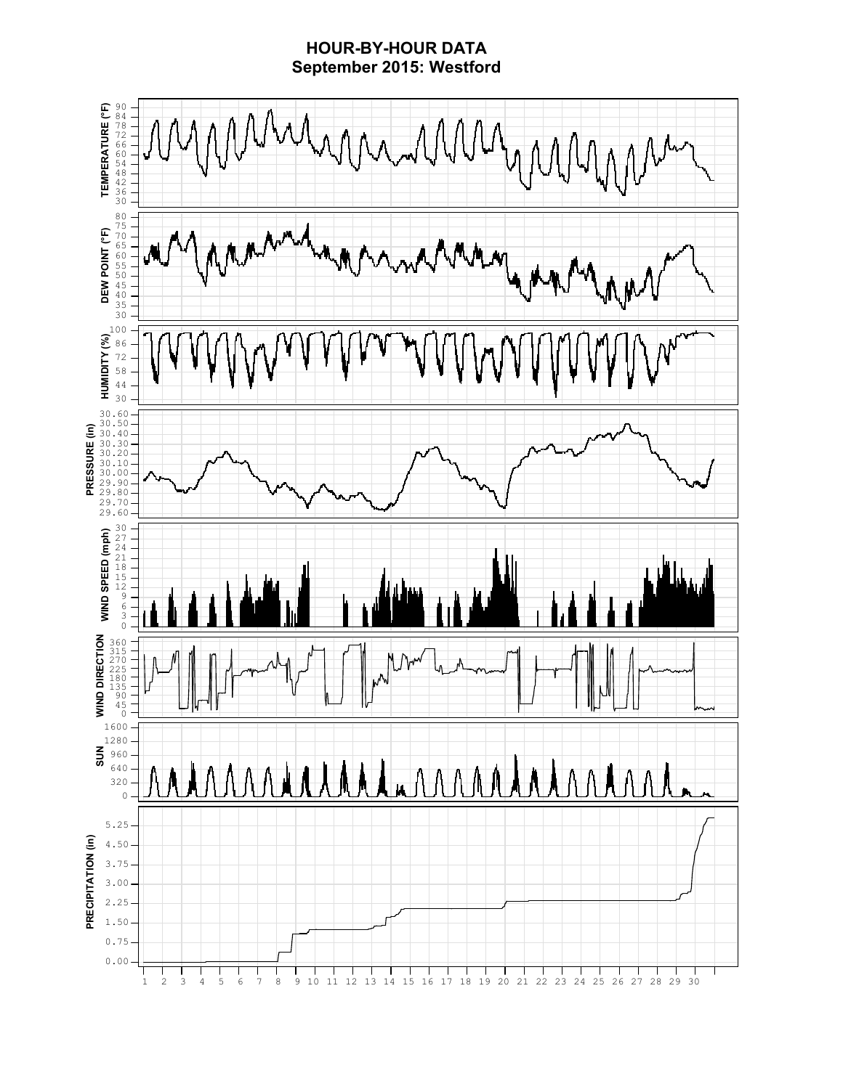## **HOUR-BY-HOUR DATA September 2015: Westford**